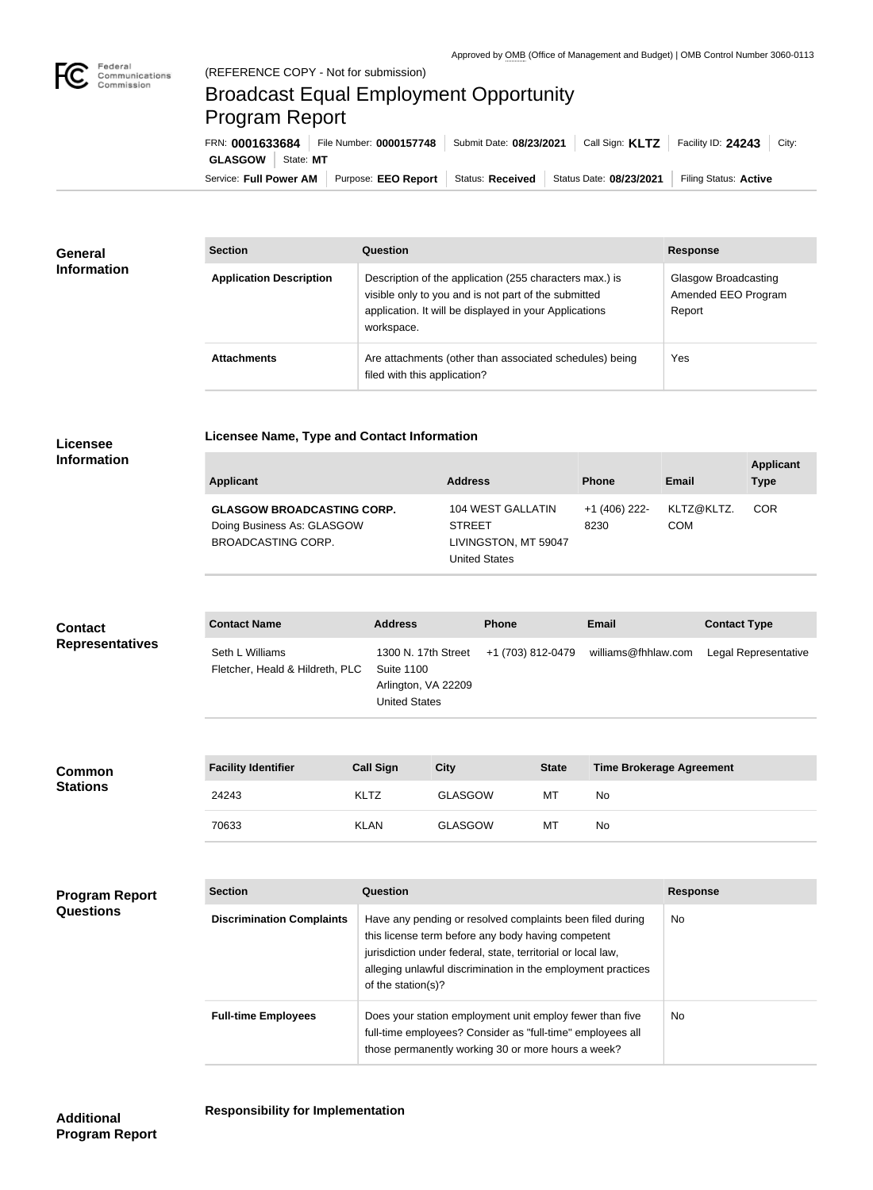

## Broadcast Equal Employment Opportunity Program Report

**Licensee Name, Type and Contact Information**

Service: Full Power AM | Purpose: EEO Report | Status: Received | Status Date: 08/23/2021 | Filing Status: Active **GLASGOW** | State: MT FRN: **0001633684** File Number: **0000157748** Submit Date: **08/23/2021** Call Sign: **KLTZ** Facility ID: **24243** City:

| <b>General</b><br><b>Information</b> | <b>Section</b>                 | Question                                                                                                                                                                                | <b>Response</b>                                       |
|--------------------------------------|--------------------------------|-----------------------------------------------------------------------------------------------------------------------------------------------------------------------------------------|-------------------------------------------------------|
|                                      | <b>Application Description</b> | Description of the application (255 characters max.) is<br>visible only to you and is not part of the submitted<br>application. It will be displayed in your Applications<br>workspace. | Glasgow Broadcasting<br>Amended EEO Program<br>Report |
|                                      | <b>Attachments</b>             | Are attachments (other than associated schedules) being<br>filed with this application?                                                                                                 | Yes                                                   |

## **Licensee Information**

**Stations**

| <b>Applicant</b>                                                                             | <b>Address</b>                                                                     | <b>Phone</b>          | <b>Email</b>             | <b>Applicant</b><br><b>Type</b> |
|----------------------------------------------------------------------------------------------|------------------------------------------------------------------------------------|-----------------------|--------------------------|---------------------------------|
| <b>GLASGOW BROADCASTING CORP.</b><br>Doing Business As: GLASGOW<br><b>BROADCASTING CORP.</b> | 104 WEST GALLATIN<br><b>STREET</b><br>LIVINGSTON, MT 59047<br><b>United States</b> | +1 (406) 222-<br>8230 | KLTZ@KLTZ.<br><b>COM</b> | <b>COR</b>                      |

| <b>Contact</b><br><b>Representatives</b> | <b>Contact Name</b>                                | <b>Address</b>                                                                          |             | <b>Phone</b>      | Email                           | <b>Contact Type</b>  |
|------------------------------------------|----------------------------------------------------|-----------------------------------------------------------------------------------------|-------------|-------------------|---------------------------------|----------------------|
|                                          | Seth L Williams<br>Fletcher, Heald & Hildreth, PLC | 1300 N. 17th Street<br><b>Suite 1100</b><br>Arlington, VA 22209<br><b>United States</b> |             | +1 (703) 812-0479 | williams@fhhlaw.com             | Legal Representative |
|                                          |                                                    |                                                                                         |             |                   |                                 |                      |
| <b>Common</b>                            | <b>Facility Identifier</b>                         | <b>Call Sign</b>                                                                        | <b>City</b> | <b>State</b>      | <b>Time Brokerage Agreement</b> |                      |

| <b>Facility Identifier</b> | <b>Call Sign</b> | Citv           | <b>State</b> | Time Brokerage Agreement |
|----------------------------|------------------|----------------|--------------|--------------------------|
| 24243                      | <b>KLTZ</b>      | <b>GLASGOW</b> | МT           | No.                      |
| 70633                      | <b>KLAN</b>      | <b>GLASGOW</b> | МT           | <b>No</b>                |

| <b>Program Report</b><br><b>Questions</b> | <b>Section</b>                   | Question                                                                                                                                                                                                                                                              | <b>Response</b> |
|-------------------------------------------|----------------------------------|-----------------------------------------------------------------------------------------------------------------------------------------------------------------------------------------------------------------------------------------------------------------------|-----------------|
|                                           | <b>Discrimination Complaints</b> | Have any pending or resolved complaints been filed during<br>this license term before any body having competent<br>jurisdiction under federal, state, territorial or local law,<br>alleging unlawful discrimination in the employment practices<br>of the station(s)? | N <sub>o</sub>  |
|                                           | <b>Full-time Employees</b>       | Does your station employment unit employ fewer than five<br>full-time employees? Consider as "full-time" employees all<br>those permanently working 30 or more hours a week?                                                                                          | No.             |

**Program Report**